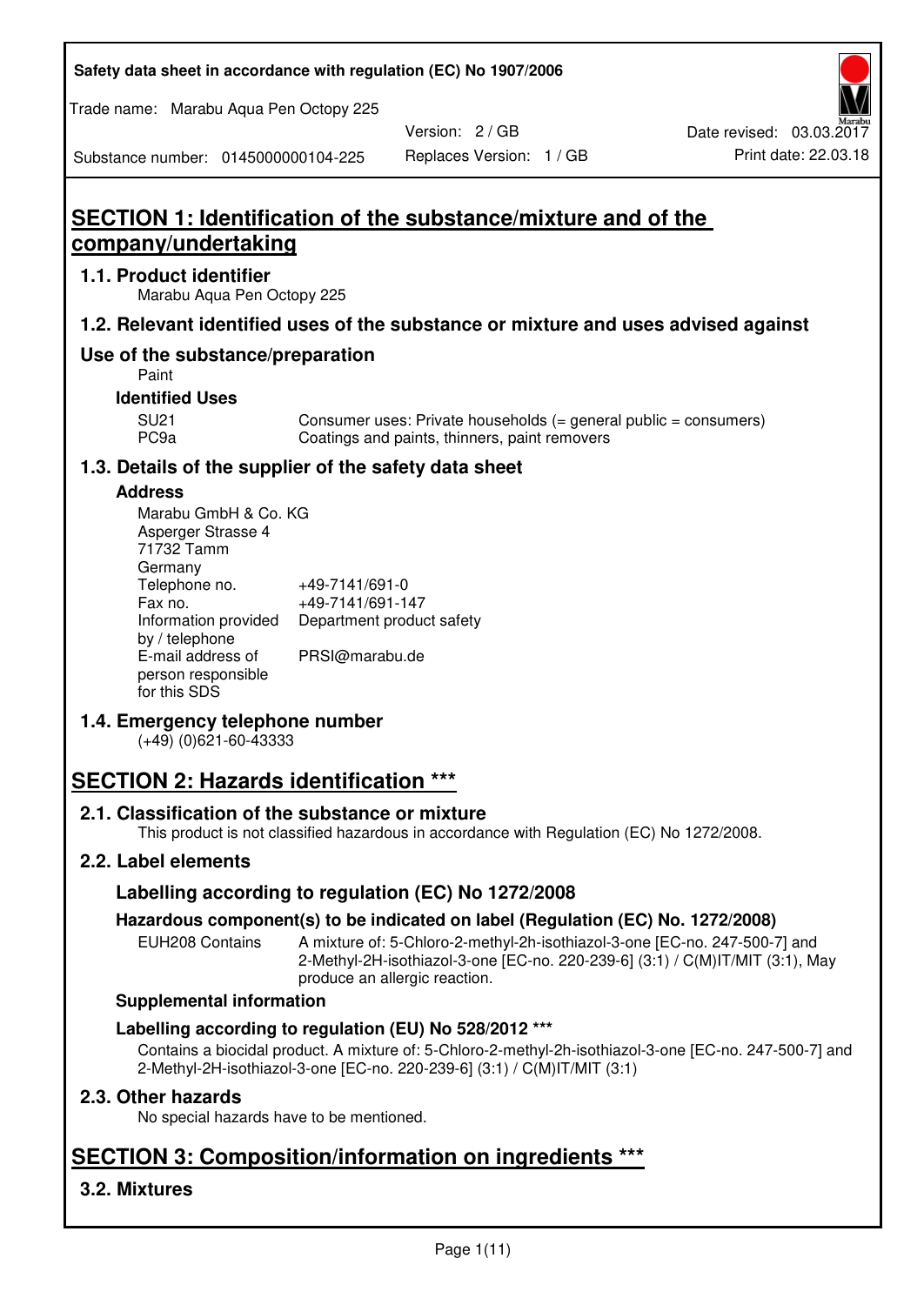| Safety data sheet in accordance with regulation (EC) No 1907/2006 |  |
|-------------------------------------------------------------------|--|
|-------------------------------------------------------------------|--|

Trade name: Marabu Aqua Pen Octopy 225

Version: 2 / GB

Substance number: 0145000000104-225

# **SECTION 1: Identification of the substance/mixture and of the company/undertaking**

## **1.1. Product identifier**

Marabu Aqua Pen Octopy 225

## **1.2. Relevant identified uses of the substance or mixture and uses advised against**

## **Use of the substance/preparation**

Paint

## **Identified Uses**

SU21 Consumer uses: Private households (= general public = consumers)<br>PC9a Coatings and paints, thinners, paint removers Coatings and paints, thinners, paint removers

## **1.3. Details of the supplier of the safety data sheet**

## **Address**

| Marabu GmbH & Co. KG |                           |
|----------------------|---------------------------|
| Asperger Strasse 4   |                           |
| 71732 Tamm           |                           |
| Germany              |                           |
| Telephone no.        | +49-7141/691-0            |
| Fax no.              | +49-7141/691-147          |
| Information provided | Department product safety |
| by / telephone       |                           |
| E-mail address of    | PRSI@marabu.de            |
| person responsible   |                           |
| for this SDS         |                           |

## **1.4. Emergency telephone number**

(+49) (0)621-60-43333

# **SECTION 2: Hazards identification \*\*\***

## **2.1. Classification of the substance or mixture**

This product is not classified hazardous in accordance with Regulation (EC) No 1272/2008.

## **2.2. Label elements**

## **Labelling according to regulation (EC) No 1272/2008**

## **Hazardous component(s) to be indicated on label (Regulation (EC) No. 1272/2008)**

EUH208 Contains A mixture of: 5-Chloro-2-methyl-2h-isothiazol-3-one [EC-no. 247-500-7] and 2-Methyl-2H-isothiazol-3-one [EC-no. 220-239-6] (3:1) / C(M)IT/MIT (3:1), May produce an allergic reaction.

#### **Supplemental information**

## **Labelling according to regulation (EU) No 528/2012 \*\*\***

Contains a biocidal product. A mixture of: 5-Chloro-2-methyl-2h-isothiazol-3-one [EC-no. 247-500-7] and 2-Methyl-2H-isothiazol-3-one [EC-no. 220-239-6] (3:1) / C(M)IT/MIT (3:1)

## **2.3. Other hazards**

No special hazards have to be mentioned.

# **SECTION 3: Composition/information on ingredients \*\*\***

## **3.2. Mixtures**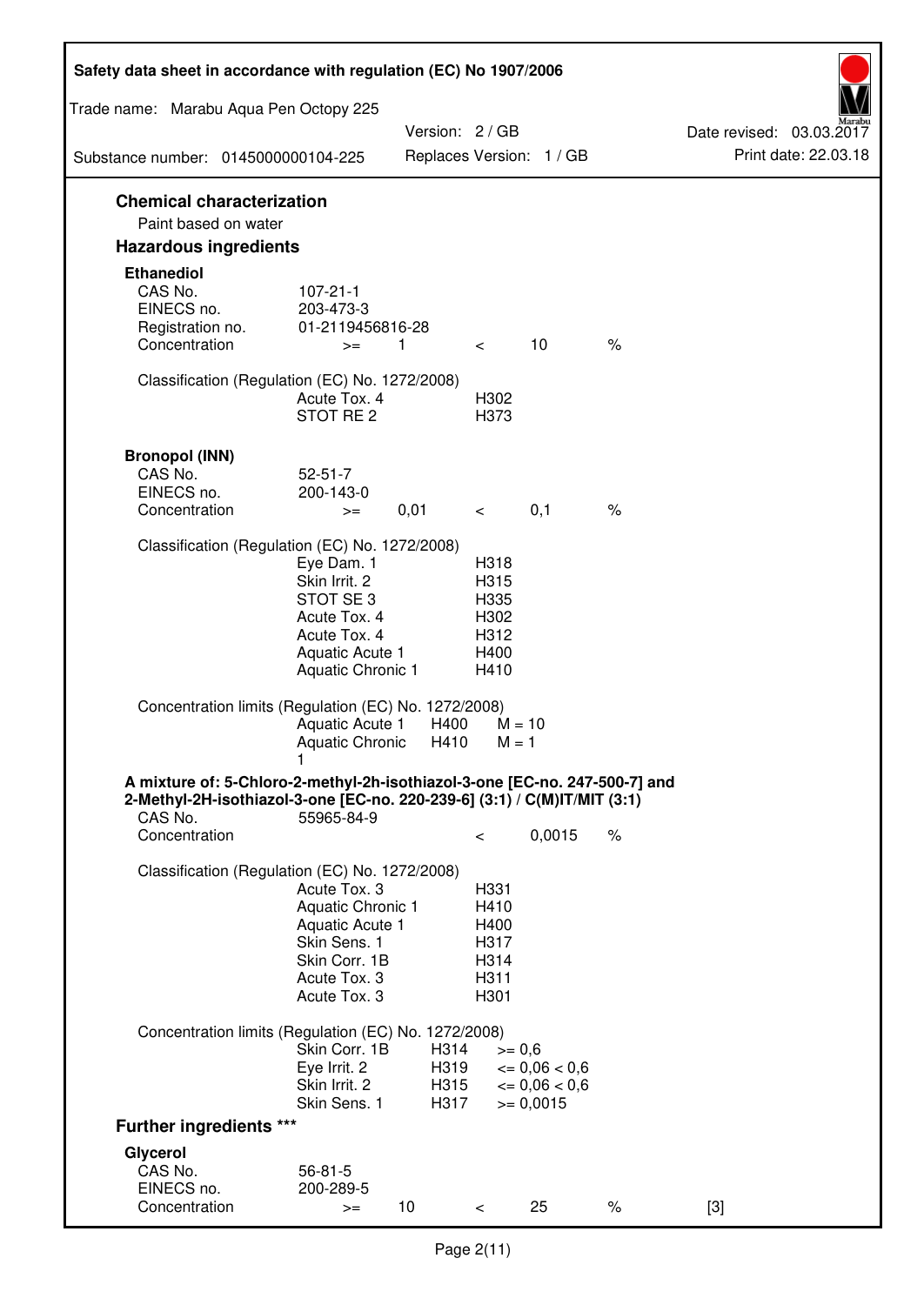| Safety data sheet in accordance with regulation (EC) No 1907/2006                                                                                                 |                                                                                                                       |                              |                                                      |                                                                  |      |                                                  |
|-------------------------------------------------------------------------------------------------------------------------------------------------------------------|-----------------------------------------------------------------------------------------------------------------------|------------------------------|------------------------------------------------------|------------------------------------------------------------------|------|--------------------------------------------------|
| Trade name: Marabu Aqua Pen Octopy 225                                                                                                                            |                                                                                                                       |                              |                                                      |                                                                  |      |                                                  |
|                                                                                                                                                                   |                                                                                                                       | Version: 2 / GB              |                                                      |                                                                  |      | Date revised: 03.03.2017<br>Print date: 22.03.18 |
| Substance number: 0145000000104-225                                                                                                                               |                                                                                                                       |                              |                                                      | Replaces Version: 1 / GB                                         |      |                                                  |
| <b>Chemical characterization</b><br>Paint based on water                                                                                                          |                                                                                                                       |                              |                                                      |                                                                  |      |                                                  |
| <b>Hazardous ingredients</b>                                                                                                                                      |                                                                                                                       |                              |                                                      |                                                                  |      |                                                  |
| <b>Ethanediol</b><br>CAS No.<br>EINECS no.<br>Registration no.<br>Concentration                                                                                   | $107 - 21 - 1$<br>203-473-3<br>01-2119456816-28<br>$>=$                                                               | 1                            | $\lt$ $\lt$                                          | 10                                                               | $\%$ |                                                  |
| Classification (Regulation (EC) No. 1272/2008)                                                                                                                    | Acute Tox. 4<br>STOT RE 2                                                                                             |                              | H302<br>H373                                         |                                                                  |      |                                                  |
| <b>Bronopol (INN)</b><br>CAS No.<br>EINECS no.<br>Concentration                                                                                                   | $52 - 51 - 7$<br>200-143-0<br>$>=$                                                                                    | 0,01                         | $\lt$ $\sim$                                         | 0,1                                                              | $\%$ |                                                  |
| Classification (Regulation (EC) No. 1272/2008)                                                                                                                    |                                                                                                                       |                              |                                                      |                                                                  |      |                                                  |
|                                                                                                                                                                   | Eye Dam. 1<br>Skin Irrit. 2<br>STOT SE3<br>Acute Tox. 4<br>Acute Tox. 4<br>Aquatic Acute 1<br>Aquatic Chronic 1       |                              | H318<br>H315<br>H335<br>H302<br>H312<br>H400<br>H410 |                                                                  |      |                                                  |
| Concentration limits (Regulation (EC) No. 1272/2008)                                                                                                              | Aquatic Acute 1<br>Aquatic Chronic $H410$ M = 1                                                                       | H400                         | $M = 10$                                             |                                                                  |      |                                                  |
| A mixture of: 5-Chloro-2-methyl-2h-isothiazol-3-one [EC-no. 247-500-7] and<br>2-Methyl-2H-isothiazol-3-one [EC-no. 220-239-6] (3:1) / C(M)IT/MIT (3:1)<br>CAS No. | 55965-84-9                                                                                                            |                              |                                                      |                                                                  |      |                                                  |
| Concentration                                                                                                                                                     |                                                                                                                       |                              | $\,<\,$                                              | 0,0015                                                           | $\%$ |                                                  |
| Classification (Regulation (EC) No. 1272/2008)                                                                                                                    | Acute Tox. 3<br>Aquatic Chronic 1<br>Aquatic Acute 1<br>Skin Sens. 1<br>Skin Corr. 1B<br>Acute Tox. 3<br>Acute Tox. 3 |                              | H331<br>H410<br>H400<br>H317<br>H314<br>H311<br>H301 |                                                                  |      |                                                  |
| Concentration limits (Regulation (EC) No. 1272/2008)                                                                                                              |                                                                                                                       |                              |                                                      |                                                                  |      |                                                  |
|                                                                                                                                                                   | Skin Corr. 1B<br>Eye Irrit. 2<br>Skin Irrit. 2<br>Skin Sens. 1                                                        | H314<br>H319<br>H315<br>H317 | $>= 0,6$                                             | $\epsilon = 0.06 < 0.6$<br>$\epsilon = 0.06 < 0.6$<br>$= 0,0015$ |      |                                                  |
| <b>Further ingredients ***</b>                                                                                                                                    |                                                                                                                       |                              |                                                      |                                                                  |      |                                                  |
| Glycerol<br>CAS No.<br>EINECS no.<br>Concentration                                                                                                                | $56 - 81 - 5$<br>200-289-5<br>$>=$                                                                                    | 10 <sup>°</sup>              | $\,<\,$                                              | 25                                                               | $\%$ | $[3]$                                            |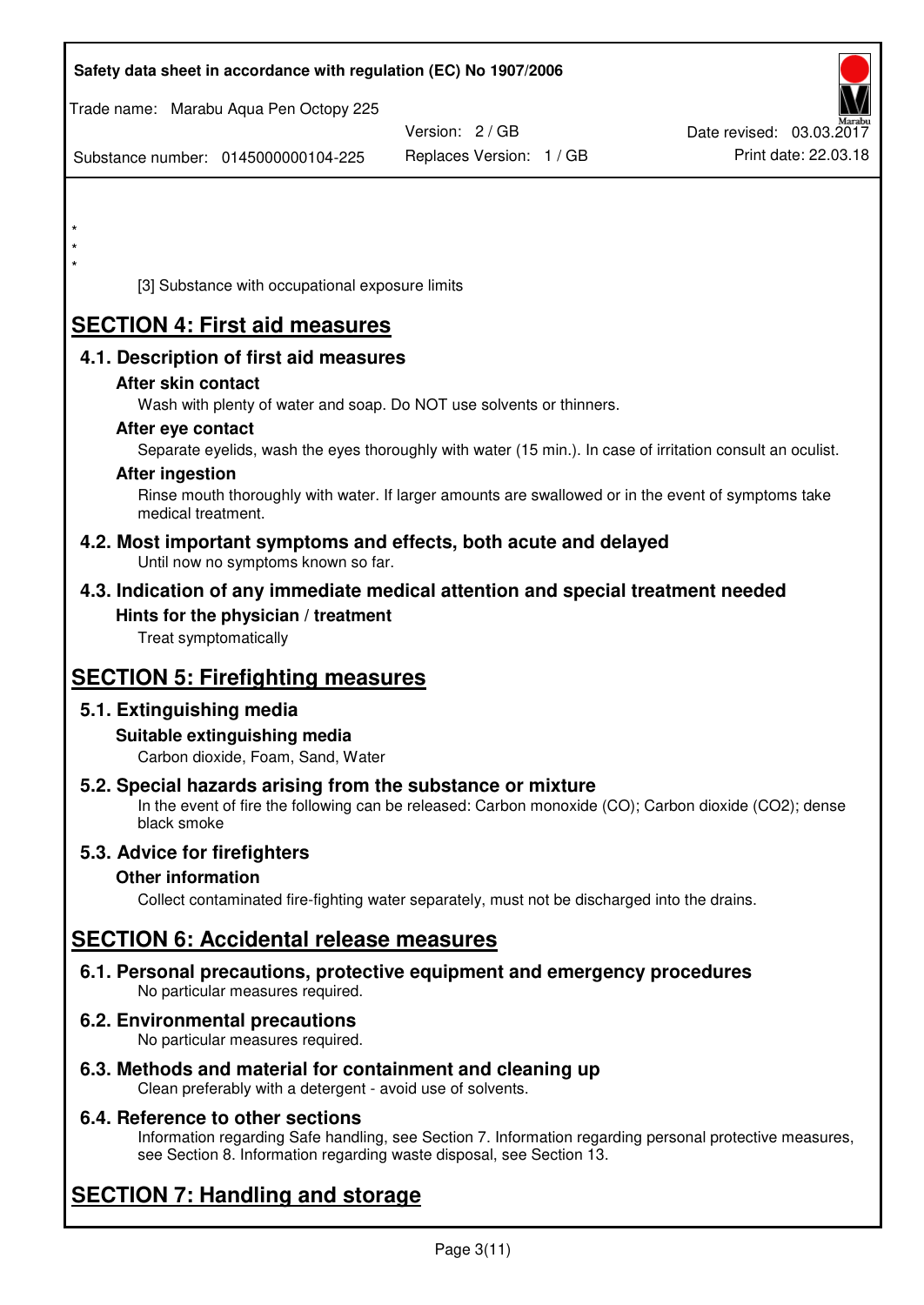| Safety data sheet in accordance with regulation (EC) No 1907/2006                                                                                                                  |                          |                          |
|------------------------------------------------------------------------------------------------------------------------------------------------------------------------------------|--------------------------|--------------------------|
| Trade name: Marabu Aqua Pen Octopy 225                                                                                                                                             | Version: 2 / GB          | Date revised: 03.03.2017 |
| Substance number: 0145000000104-225                                                                                                                                                | Replaces Version: 1 / GB | Print date: 22.03.18     |
|                                                                                                                                                                                    |                          |                          |
|                                                                                                                                                                                    |                          |                          |
| $\star$                                                                                                                                                                            |                          |                          |
| [3] Substance with occupational exposure limits                                                                                                                                    |                          |                          |
| <b>SECTION 4: First aid measures</b>                                                                                                                                               |                          |                          |
| 4.1. Description of first aid measures                                                                                                                                             |                          |                          |
| After skin contact<br>Wash with plenty of water and soap. Do NOT use solvents or thinners.                                                                                         |                          |                          |
| After eye contact                                                                                                                                                                  |                          |                          |
| Separate eyelids, wash the eyes thoroughly with water (15 min.). In case of irritation consult an oculist.<br><b>After ingestion</b>                                               |                          |                          |
| Rinse mouth thoroughly with water. If larger amounts are swallowed or in the event of symptoms take<br>medical treatment.                                                          |                          |                          |
| 4.2. Most important symptoms and effects, both acute and delayed<br>Until now no symptoms known so far.                                                                            |                          |                          |
| 4.3. Indication of any immediate medical attention and special treatment needed                                                                                                    |                          |                          |
| Hints for the physician / treatment<br>Treat symptomatically                                                                                                                       |                          |                          |
| <b>SECTION 5: Firefighting measures</b>                                                                                                                                            |                          |                          |
| 5.1. Extinguishing media                                                                                                                                                           |                          |                          |
| Suitable extinguishing media<br>Carbon dioxide, Foam, Sand, Water                                                                                                                  |                          |                          |
| 5.2. Special hazards arising from the substance or mixture<br>In the event of fire the following can be released: Carbon monoxide (CO); Carbon dioxide (CO2); dense<br>black smoke |                          |                          |
| 5.3. Advice for firefighters                                                                                                                                                       |                          |                          |
| <b>Other information</b><br>Collect contaminated fire-fighting water separately, must not be discharged into the drains.                                                           |                          |                          |
| <b>SECTION 6: Accidental release measures</b>                                                                                                                                      |                          |                          |
| 6.1. Personal precautions, protective equipment and emergency procedures<br>No particular measures required.                                                                       |                          |                          |
| 6.2. Environmental precautions<br>No particular measures required.                                                                                                                 |                          |                          |
|                                                                                                                                                                                    |                          |                          |

**6.3. Methods and material for containment and cleaning up**  Clean preferably with a detergent - avoid use of solvents.

## **6.4. Reference to other sections**

Information regarding Safe handling, see Section 7. Information regarding personal protective measures, see Section 8. Information regarding waste disposal, see Section 13.

# **SECTION 7: Handling and storage**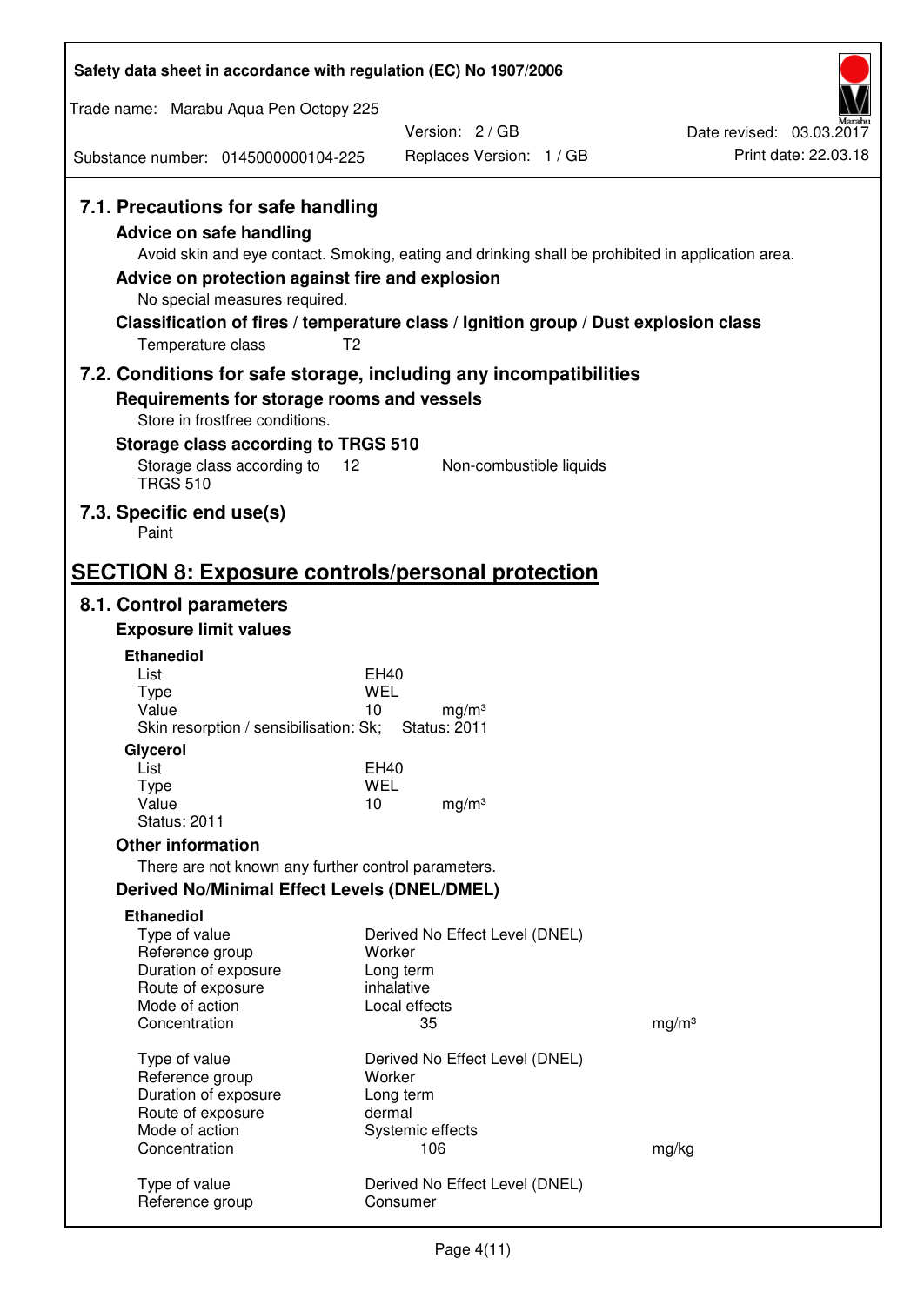| Safety data sheet in accordance with regulation (EC) No 1907/2006                                                                                                             |                                                                                                                                                                                                            |                                                  |
|-------------------------------------------------------------------------------------------------------------------------------------------------------------------------------|------------------------------------------------------------------------------------------------------------------------------------------------------------------------------------------------------------|--------------------------------------------------|
| Trade name: Marabu Aqua Pen Octopy 225                                                                                                                                        |                                                                                                                                                                                                            |                                                  |
|                                                                                                                                                                               | Version: 2/GB                                                                                                                                                                                              | Date revised: 03.03.2017<br>Print date: 22.03.18 |
| Substance number: 0145000000104-225                                                                                                                                           | Replaces Version: 1 / GB                                                                                                                                                                                   |                                                  |
| 7.1. Precautions for safe handling<br><b>Advice on safe handling</b><br>Advice on protection against fire and explosion<br>No special measures required.<br>Temperature class | Avoid skin and eye contact. Smoking, eating and drinking shall be prohibited in application area.<br>Classification of fires / temperature class / Ignition group / Dust explosion class<br>T <sub>2</sub> |                                                  |
| 7.2. Conditions for safe storage, including any incompatibilities                                                                                                             |                                                                                                                                                                                                            |                                                  |
| Requirements for storage rooms and vessels<br>Store in frostfree conditions.                                                                                                  |                                                                                                                                                                                                            |                                                  |
| Storage class according to TRGS 510                                                                                                                                           |                                                                                                                                                                                                            |                                                  |
| Storage class according to<br><b>TRGS 510</b>                                                                                                                                 | 12<br>Non-combustible liquids                                                                                                                                                                              |                                                  |
| 7.3. Specific end use(s)<br>Paint                                                                                                                                             |                                                                                                                                                                                                            |                                                  |
| <b>SECTION 8: Exposure controls/personal protection</b>                                                                                                                       |                                                                                                                                                                                                            |                                                  |
| 8.1. Control parameters                                                                                                                                                       |                                                                                                                                                                                                            |                                                  |
| <b>Exposure limit values</b>                                                                                                                                                  |                                                                                                                                                                                                            |                                                  |
| <b>Ethanediol</b><br>List                                                                                                                                                     | EH40                                                                                                                                                                                                       |                                                  |
| <b>Type</b>                                                                                                                                                                   | <b>WEL</b>                                                                                                                                                                                                 |                                                  |
| Value<br>Skin resorption / sensibilisation: Sk;                                                                                                                               | 10<br>mg/m <sup>3</sup><br><b>Status: 2011</b>                                                                                                                                                             |                                                  |
| Glycerol                                                                                                                                                                      |                                                                                                                                                                                                            |                                                  |
| List                                                                                                                                                                          | EH40                                                                                                                                                                                                       |                                                  |
| <b>Type</b><br>Value                                                                                                                                                          | <b>WEL</b><br>10<br>mg/m <sup>3</sup>                                                                                                                                                                      |                                                  |
| <b>Status: 2011</b>                                                                                                                                                           |                                                                                                                                                                                                            |                                                  |
| <b>Other information</b>                                                                                                                                                      |                                                                                                                                                                                                            |                                                  |
| There are not known any further control parameters.                                                                                                                           |                                                                                                                                                                                                            |                                                  |
| <b>Derived No/Minimal Effect Levels (DNEL/DMEL)</b>                                                                                                                           |                                                                                                                                                                                                            |                                                  |
| <b>Ethanediol</b><br>Type of value                                                                                                                                            | Derived No Effect Level (DNEL)                                                                                                                                                                             |                                                  |
| Reference group                                                                                                                                                               | Worker                                                                                                                                                                                                     |                                                  |
| Duration of exposure<br>Route of exposure                                                                                                                                     | Long term<br>inhalative                                                                                                                                                                                    |                                                  |
| Mode of action                                                                                                                                                                | Local effects                                                                                                                                                                                              |                                                  |
| Concentration                                                                                                                                                                 | 35                                                                                                                                                                                                         | mg/m <sup>3</sup>                                |
| Type of value                                                                                                                                                                 | Derived No Effect Level (DNEL)                                                                                                                                                                             |                                                  |
| Reference group                                                                                                                                                               | Worker                                                                                                                                                                                                     |                                                  |
| Duration of exposure<br>Route of exposure                                                                                                                                     | Long term<br>dermal                                                                                                                                                                                        |                                                  |
| Mode of action                                                                                                                                                                | Systemic effects                                                                                                                                                                                           |                                                  |
| Concentration                                                                                                                                                                 | 106                                                                                                                                                                                                        | mg/kg                                            |
| Type of value<br>Reference group                                                                                                                                              | Derived No Effect Level (DNEL)<br>Consumer                                                                                                                                                                 |                                                  |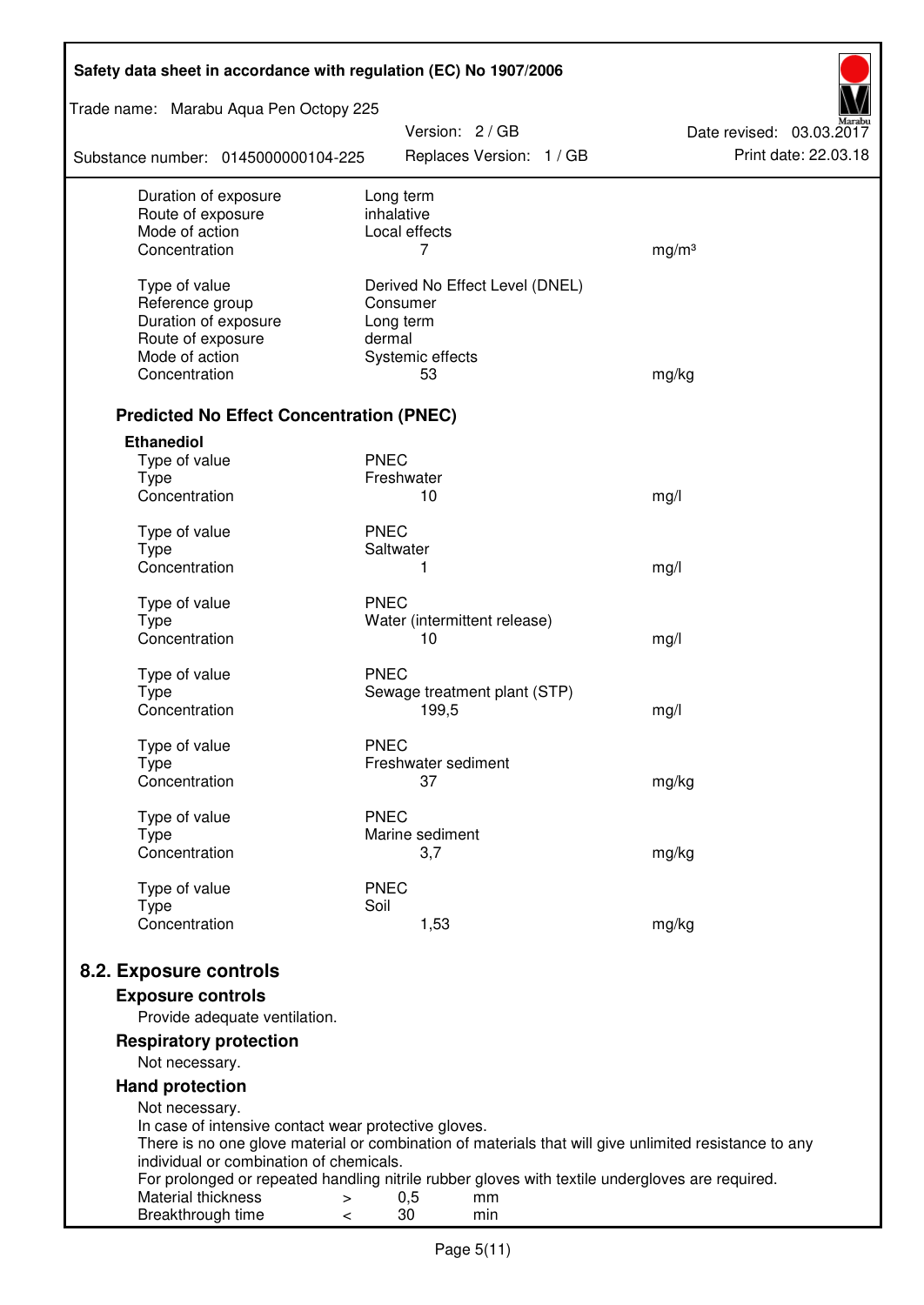| Safety data sheet in accordance with regulation (EC) No 1907/2006 |                                                                                                              |                          |  |
|-------------------------------------------------------------------|--------------------------------------------------------------------------------------------------------------|--------------------------|--|
| Trade name: Marabu Aqua Pen Octopy 225                            | Version: 2 / GB                                                                                              | Date revised: 03.03.2017 |  |
| Substance number: 0145000000104-225                               | Replaces Version: 1 / GB                                                                                     | Print date: 22.03.18     |  |
| Duration of exposure                                              | Long term                                                                                                    |                          |  |
| Route of exposure<br>Mode of action                               | inhalative<br>Local effects                                                                                  |                          |  |
| Concentration                                                     | 7                                                                                                            | mg/m <sup>3</sup>        |  |
|                                                                   |                                                                                                              |                          |  |
| Type of value                                                     | Derived No Effect Level (DNEL)                                                                               |                          |  |
| Reference group                                                   | Consumer                                                                                                     |                          |  |
| Duration of exposure<br>Route of exposure                         | Long term<br>dermal                                                                                          |                          |  |
| Mode of action                                                    | Systemic effects                                                                                             |                          |  |
| Concentration                                                     | 53                                                                                                           | mg/kg                    |  |
|                                                                   |                                                                                                              |                          |  |
| <b>Predicted No Effect Concentration (PNEC)</b>                   |                                                                                                              |                          |  |
| <b>Ethanediol</b>                                                 |                                                                                                              |                          |  |
| Type of value<br><b>Type</b>                                      | <b>PNEC</b><br>Freshwater                                                                                    |                          |  |
| Concentration                                                     | 10                                                                                                           | mg/l                     |  |
|                                                                   |                                                                                                              |                          |  |
| Type of value                                                     | <b>PNEC</b>                                                                                                  |                          |  |
| <b>Type</b>                                                       | Saltwater                                                                                                    |                          |  |
| Concentration                                                     | 1                                                                                                            | mg/l                     |  |
| Type of value                                                     | <b>PNEC</b>                                                                                                  |                          |  |
| <b>Type</b>                                                       | Water (intermittent release)                                                                                 |                          |  |
| Concentration                                                     | 10                                                                                                           | mg/l                     |  |
| Type of value                                                     | <b>PNEC</b>                                                                                                  |                          |  |
| <b>Type</b>                                                       | Sewage treatment plant (STP)                                                                                 |                          |  |
| Concentration                                                     | 199,5                                                                                                        | mg/l                     |  |
| Type of value                                                     | <b>PNEC</b>                                                                                                  |                          |  |
| Type                                                              | Freshwater sediment                                                                                          |                          |  |
| Concentration                                                     | 37                                                                                                           | mg/kg                    |  |
|                                                                   | <b>PNEC</b>                                                                                                  |                          |  |
| Type of value<br><b>Type</b>                                      | Marine sediment                                                                                              |                          |  |
| Concentration                                                     | 3,7                                                                                                          | mg/kg                    |  |
|                                                                   |                                                                                                              |                          |  |
| Type of value<br><b>Type</b>                                      | <b>PNEC</b><br>Soil                                                                                          |                          |  |
| Concentration                                                     | 1,53                                                                                                         | mg/kg                    |  |
|                                                                   |                                                                                                              |                          |  |
| 8.2. Exposure controls                                            |                                                                                                              |                          |  |
| <b>Exposure controls</b>                                          |                                                                                                              |                          |  |
| Provide adequate ventilation.                                     |                                                                                                              |                          |  |
| <b>Respiratory protection</b><br>Not necessary.                   |                                                                                                              |                          |  |
| <b>Hand protection</b>                                            |                                                                                                              |                          |  |
| Not necessary.                                                    |                                                                                                              |                          |  |
| In case of intensive contact wear protective gloves.              |                                                                                                              |                          |  |
|                                                                   | There is no one glove material or combination of materials that will give unlimited resistance to any        |                          |  |
| individual or combination of chemicals.                           |                                                                                                              |                          |  |
| Material thickness<br>>                                           | For prolonged or repeated handling nitrile rubber gloves with textile undergloves are required.<br>0,5<br>mm |                          |  |
| Breakthrough time<br><                                            | 30<br>min                                                                                                    |                          |  |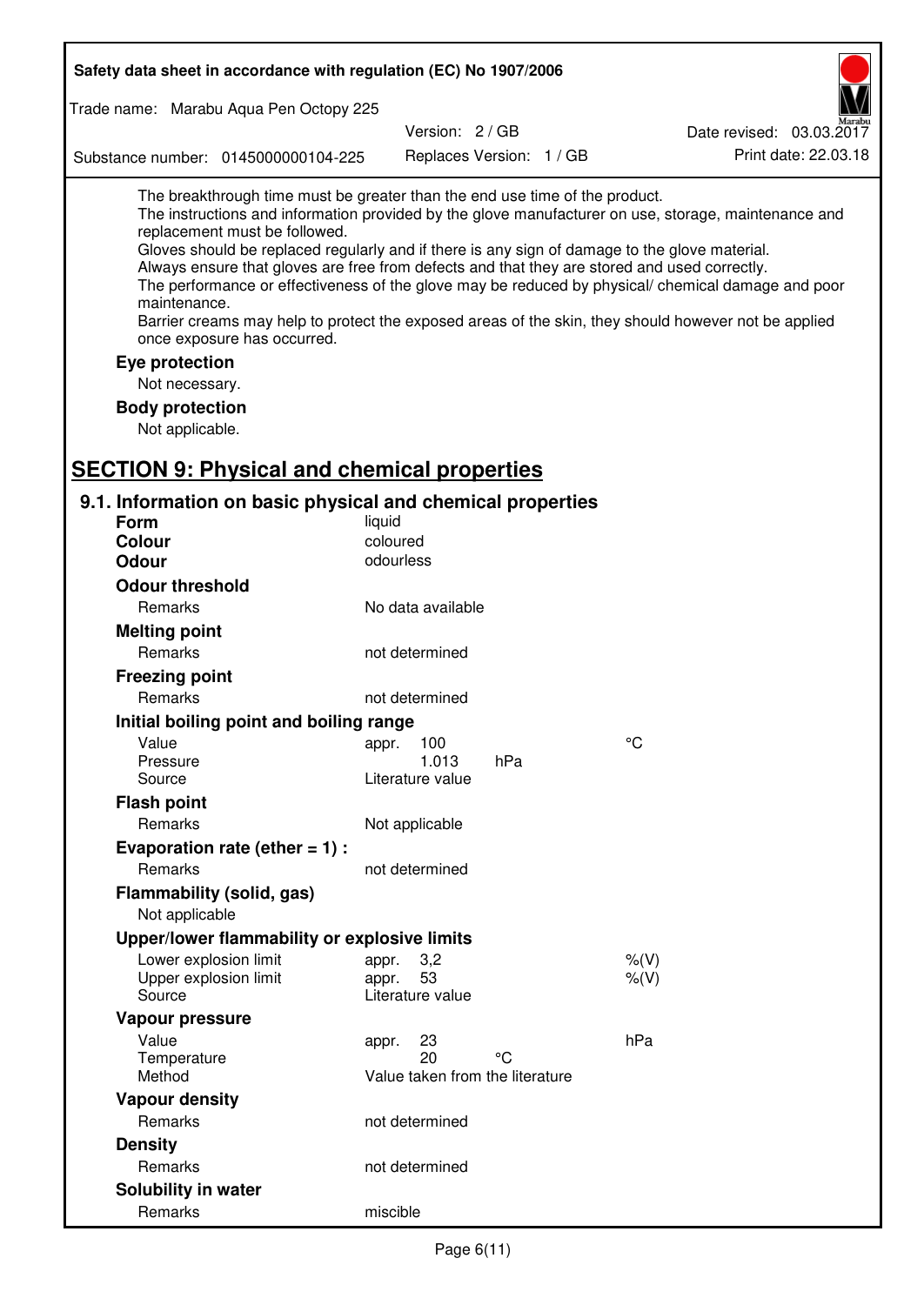| Safety data sheet in accordance with regulation (EC) No 1907/2006                                                                                                                                                                                                                                                                                            |                                       |                          |                                                                                                                                                                                                                                                                                                                    |
|--------------------------------------------------------------------------------------------------------------------------------------------------------------------------------------------------------------------------------------------------------------------------------------------------------------------------------------------------------------|---------------------------------------|--------------------------|--------------------------------------------------------------------------------------------------------------------------------------------------------------------------------------------------------------------------------------------------------------------------------------------------------------------|
| Trade name: Marabu Aqua Pen Octopy 225                                                                                                                                                                                                                                                                                                                       |                                       |                          |                                                                                                                                                                                                                                                                                                                    |
|                                                                                                                                                                                                                                                                                                                                                              | Version: 2/GB                         |                          | Date revised: 03.03.2017                                                                                                                                                                                                                                                                                           |
| Substance number: 0145000000104-225                                                                                                                                                                                                                                                                                                                          |                                       | Replaces Version: 1 / GB | Print date: 22.03.18                                                                                                                                                                                                                                                                                               |
| The breakthrough time must be greater than the end use time of the product.<br>replacement must be followed.<br>Gloves should be replaced regularly and if there is any sign of damage to the glove material.<br>Always ensure that gloves are free from defects and that they are stored and used correctly.<br>maintenance.<br>once exposure has occurred. |                                       |                          | The instructions and information provided by the glove manufacturer on use, storage, maintenance and<br>The performance or effectiveness of the glove may be reduced by physical/ chemical damage and poor<br>Barrier creams may help to protect the exposed areas of the skin, they should however not be applied |
| Eye protection                                                                                                                                                                                                                                                                                                                                               |                                       |                          |                                                                                                                                                                                                                                                                                                                    |
| Not necessary.                                                                                                                                                                                                                                                                                                                                               |                                       |                          |                                                                                                                                                                                                                                                                                                                    |
| <b>Body protection</b>                                                                                                                                                                                                                                                                                                                                       |                                       |                          |                                                                                                                                                                                                                                                                                                                    |
| Not applicable.                                                                                                                                                                                                                                                                                                                                              |                                       |                          |                                                                                                                                                                                                                                                                                                                    |
|                                                                                                                                                                                                                                                                                                                                                              |                                       |                          |                                                                                                                                                                                                                                                                                                                    |
| <b>SECTION 9: Physical and chemical properties</b>                                                                                                                                                                                                                                                                                                           |                                       |                          |                                                                                                                                                                                                                                                                                                                    |
| 9.1. Information on basic physical and chemical properties                                                                                                                                                                                                                                                                                                   |                                       |                          |                                                                                                                                                                                                                                                                                                                    |
| Form                                                                                                                                                                                                                                                                                                                                                         | liquid                                |                          |                                                                                                                                                                                                                                                                                                                    |
| <b>Colour</b>                                                                                                                                                                                                                                                                                                                                                | coloured<br>odourless                 |                          |                                                                                                                                                                                                                                                                                                                    |
| <b>Odour</b>                                                                                                                                                                                                                                                                                                                                                 |                                       |                          |                                                                                                                                                                                                                                                                                                                    |
| <b>Odour threshold</b>                                                                                                                                                                                                                                                                                                                                       |                                       |                          |                                                                                                                                                                                                                                                                                                                    |
| Remarks                                                                                                                                                                                                                                                                                                                                                      | No data available                     |                          |                                                                                                                                                                                                                                                                                                                    |
| <b>Melting point</b>                                                                                                                                                                                                                                                                                                                                         |                                       |                          |                                                                                                                                                                                                                                                                                                                    |
| Remarks                                                                                                                                                                                                                                                                                                                                                      | not determined                        |                          |                                                                                                                                                                                                                                                                                                                    |
| <b>Freezing point</b>                                                                                                                                                                                                                                                                                                                                        |                                       |                          |                                                                                                                                                                                                                                                                                                                    |
| Remarks                                                                                                                                                                                                                                                                                                                                                      | not determined                        |                          |                                                                                                                                                                                                                                                                                                                    |
| Initial boiling point and boiling range                                                                                                                                                                                                                                                                                                                      |                                       |                          |                                                                                                                                                                                                                                                                                                                    |
| Value                                                                                                                                                                                                                                                                                                                                                        | appr. 100                             |                          | $\rm ^{\circ}C$                                                                                                                                                                                                                                                                                                    |
| Pressure<br>Source                                                                                                                                                                                                                                                                                                                                           | 1.013<br>Literature value             | hPa                      |                                                                                                                                                                                                                                                                                                                    |
| <b>Flash point</b>                                                                                                                                                                                                                                                                                                                                           |                                       |                          |                                                                                                                                                                                                                                                                                                                    |
| Remarks                                                                                                                                                                                                                                                                                                                                                      | Not applicable                        |                          |                                                                                                                                                                                                                                                                                                                    |
| Evaporation rate (ether $= 1$ ) :                                                                                                                                                                                                                                                                                                                            |                                       |                          |                                                                                                                                                                                                                                                                                                                    |
| Remarks                                                                                                                                                                                                                                                                                                                                                      | not determined                        |                          |                                                                                                                                                                                                                                                                                                                    |
| Flammability (solid, gas)                                                                                                                                                                                                                                                                                                                                    |                                       |                          |                                                                                                                                                                                                                                                                                                                    |
| Not applicable                                                                                                                                                                                                                                                                                                                                               |                                       |                          |                                                                                                                                                                                                                                                                                                                    |
| Upper/lower flammability or explosive limits                                                                                                                                                                                                                                                                                                                 |                                       |                          |                                                                                                                                                                                                                                                                                                                    |
| Lower explosion limit                                                                                                                                                                                                                                                                                                                                        | 3,2<br>appr.                          |                          | $%$ (V)                                                                                                                                                                                                                                                                                                            |
| Upper explosion limit                                                                                                                                                                                                                                                                                                                                        | 53<br>appr.                           |                          | $%$ $(V)$                                                                                                                                                                                                                                                                                                          |
| Source                                                                                                                                                                                                                                                                                                                                                       | Literature value                      |                          |                                                                                                                                                                                                                                                                                                                    |
| Vapour pressure                                                                                                                                                                                                                                                                                                                                              |                                       |                          |                                                                                                                                                                                                                                                                                                                    |
| Value                                                                                                                                                                                                                                                                                                                                                        | 23<br>appr.                           |                          | hPa                                                                                                                                                                                                                                                                                                                |
| Temperature<br>Method                                                                                                                                                                                                                                                                                                                                        | 20<br>Value taken from the literature | °C                       |                                                                                                                                                                                                                                                                                                                    |
|                                                                                                                                                                                                                                                                                                                                                              |                                       |                          |                                                                                                                                                                                                                                                                                                                    |
| <b>Vapour density</b><br>Remarks                                                                                                                                                                                                                                                                                                                             | not determined                        |                          |                                                                                                                                                                                                                                                                                                                    |
| <b>Density</b>                                                                                                                                                                                                                                                                                                                                               |                                       |                          |                                                                                                                                                                                                                                                                                                                    |
| Remarks                                                                                                                                                                                                                                                                                                                                                      | not determined                        |                          |                                                                                                                                                                                                                                                                                                                    |
|                                                                                                                                                                                                                                                                                                                                                              |                                       |                          |                                                                                                                                                                                                                                                                                                                    |
| Solubility in water<br>Remarks                                                                                                                                                                                                                                                                                                                               | miscible                              |                          |                                                                                                                                                                                                                                                                                                                    |
|                                                                                                                                                                                                                                                                                                                                                              |                                       |                          |                                                                                                                                                                                                                                                                                                                    |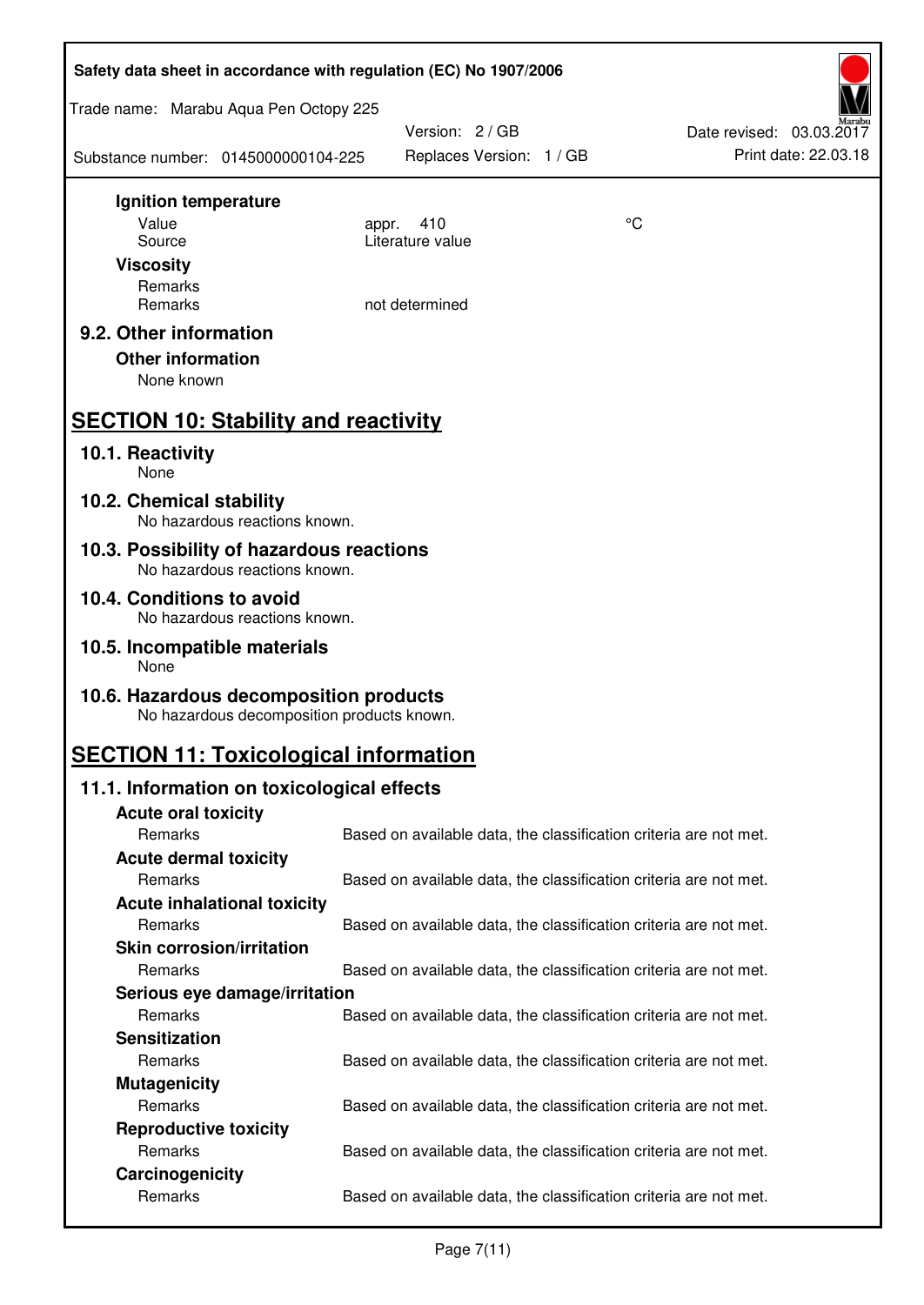| Safety data sheet in accordance with regulation (EC) No 1907/2006                    |                                                                   |                                             |  |    |                                                  |  |
|--------------------------------------------------------------------------------------|-------------------------------------------------------------------|---------------------------------------------|--|----|--------------------------------------------------|--|
| Trade name: Marabu Aqua Pen Octopy 225                                               |                                                                   |                                             |  |    |                                                  |  |
| Substance number: 0145000000104-225                                                  |                                                                   | Version: 2 / GB<br>Replaces Version: 1 / GB |  |    | Date revised: 03.03.2017<br>Print date: 22.03.18 |  |
| Ignition temperature                                                                 |                                                                   |                                             |  |    |                                                  |  |
| Value                                                                                | 410<br>appr.<br>Literature value                                  |                                             |  | °C |                                                  |  |
| Source<br><b>Viscosity</b>                                                           |                                                                   |                                             |  |    |                                                  |  |
| Remarks                                                                              |                                                                   |                                             |  |    |                                                  |  |
| Remarks                                                                              | not determined                                                    |                                             |  |    |                                                  |  |
| 9.2. Other information                                                               |                                                                   |                                             |  |    |                                                  |  |
| <b>Other information</b>                                                             |                                                                   |                                             |  |    |                                                  |  |
| None known                                                                           |                                                                   |                                             |  |    |                                                  |  |
| <b>SECTION 10: Stability and reactivity</b>                                          |                                                                   |                                             |  |    |                                                  |  |
| 10.1. Reactivity<br>None                                                             |                                                                   |                                             |  |    |                                                  |  |
| 10.2. Chemical stability<br>No hazardous reactions known.                            |                                                                   |                                             |  |    |                                                  |  |
| 10.3. Possibility of hazardous reactions<br>No hazardous reactions known.            |                                                                   |                                             |  |    |                                                  |  |
| 10.4. Conditions to avoid                                                            |                                                                   |                                             |  |    |                                                  |  |
| No hazardous reactions known.                                                        |                                                                   |                                             |  |    |                                                  |  |
| 10.5. Incompatible materials<br>None                                                 |                                                                   |                                             |  |    |                                                  |  |
| 10.6. Hazardous decomposition products<br>No hazardous decomposition products known. |                                                                   |                                             |  |    |                                                  |  |
| <b>SECTION 11: Toxicological information</b>                                         |                                                                   |                                             |  |    |                                                  |  |
| 11.1. Information on toxicological effects                                           |                                                                   |                                             |  |    |                                                  |  |
| <b>Acute oral toxicity</b>                                                           |                                                                   |                                             |  |    |                                                  |  |
| Remarks                                                                              | Based on available data, the classification criteria are not met. |                                             |  |    |                                                  |  |
| <b>Acute dermal toxicity</b><br>Remarks                                              | Based on available data, the classification criteria are not met. |                                             |  |    |                                                  |  |
| <b>Acute inhalational toxicity</b>                                                   |                                                                   |                                             |  |    |                                                  |  |
| Remarks                                                                              | Based on available data, the classification criteria are not met. |                                             |  |    |                                                  |  |
| <b>Skin corrosion/irritation</b>                                                     |                                                                   |                                             |  |    |                                                  |  |
| Remarks                                                                              | Based on available data, the classification criteria are not met. |                                             |  |    |                                                  |  |
| Serious eye damage/irritation                                                        |                                                                   |                                             |  |    |                                                  |  |
| Remarks                                                                              | Based on available data, the classification criteria are not met. |                                             |  |    |                                                  |  |
| <b>Sensitization</b><br>Remarks                                                      |                                                                   |                                             |  |    |                                                  |  |
| <b>Mutagenicity</b>                                                                  | Based on available data, the classification criteria are not met. |                                             |  |    |                                                  |  |
| Remarks                                                                              | Based on available data, the classification criteria are not met. |                                             |  |    |                                                  |  |
| <b>Reproductive toxicity</b>                                                         |                                                                   |                                             |  |    |                                                  |  |
| Remarks                                                                              | Based on available data, the classification criteria are not met. |                                             |  |    |                                                  |  |
| Carcinogenicity                                                                      |                                                                   |                                             |  |    |                                                  |  |
| Remarks                                                                              | Based on available data, the classification criteria are not met. |                                             |  |    |                                                  |  |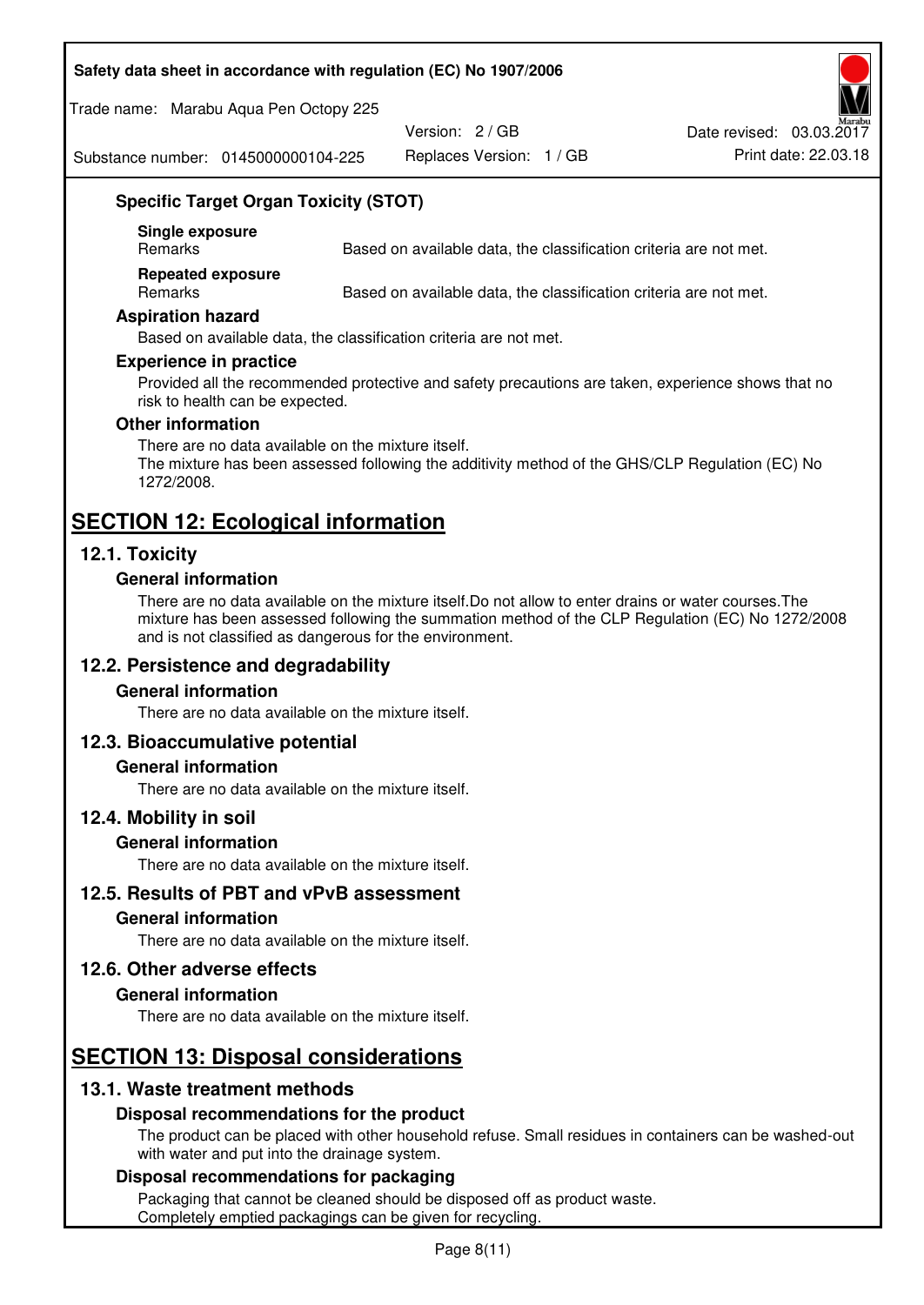#### **Safety data sheet in accordance with regulation (EC) No 1907/2006**

Trade name: Marabu Aqua Pen Octopy 225

Version: 2 / GB

Replaces Version: 1 / GB Print date: 22.03.18 Date revised: 03.03.2017

Substance number: 0145000000104-225

## **Specific Target Organ Toxicity (STOT)**

**Single exposure** 

Based on available data, the classification criteria are not met.

**Repeated exposure** 

Remarks Based on available data, the classification criteria are not met.

#### **Aspiration hazard**

Based on available data, the classification criteria are not met.

#### **Experience in practice**

Provided all the recommended protective and safety precautions are taken, experience shows that no risk to health can be expected.

#### **Other information**

There are no data available on the mixture itself. The mixture has been assessed following the additivity method of the GHS/CLP Regulation (EC) No 1272/2008.

## **SECTION 12: Ecological information**

## **12.1. Toxicity**

#### **General information**

There are no data available on the mixture itself.Do not allow to enter drains or water courses.The mixture has been assessed following the summation method of the CLP Regulation (EC) No 1272/2008 and is not classified as dangerous for the environment.

## **12.2. Persistence and degradability**

#### **General information**

There are no data available on the mixture itself.

#### **12.3. Bioaccumulative potential**

#### **General information**

There are no data available on the mixture itself.

#### **12.4. Mobility in soil**

#### **General information**

There are no data available on the mixture itself.

#### **12.5. Results of PBT and vPvB assessment**

## **General information**

There are no data available on the mixture itself.

#### **12.6. Other adverse effects**

#### **General information**

There are no data available on the mixture itself.

# **SECTION 13: Disposal considerations**

## **13.1. Waste treatment methods**

#### **Disposal recommendations for the product**

The product can be placed with other household refuse. Small residues in containers can be washed-out with water and put into the drainage system.

#### **Disposal recommendations for packaging**

Packaging that cannot be cleaned should be disposed off as product waste. Completely emptied packagings can be given for recycling.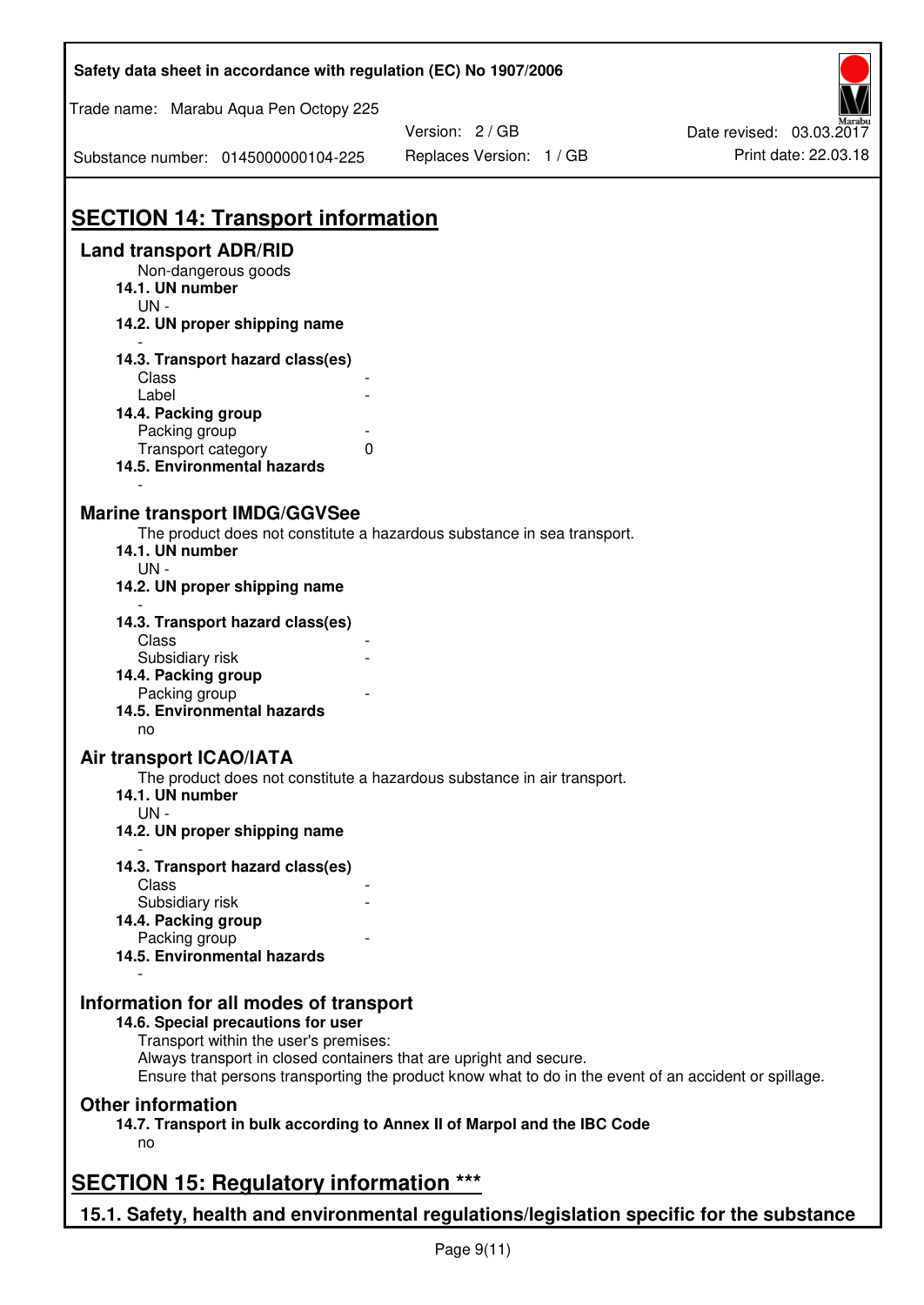| Safety data sheet in accordance with regulation (EC) No 1907/2006                                                                                                                                                                                                                                    |                                             |                                                  |
|------------------------------------------------------------------------------------------------------------------------------------------------------------------------------------------------------------------------------------------------------------------------------------------------------|---------------------------------------------|--------------------------------------------------|
| Trade name: Marabu Aqua Pen Octopy 225                                                                                                                                                                                                                                                               |                                             |                                                  |
| Substance number: 0145000000104-225                                                                                                                                                                                                                                                                  | Version: 2 / GB<br>Replaces Version: 1 / GB | Date revised: 03.03.2017<br>Print date: 22.03.18 |
| <b>SECTION 14: Transport information</b>                                                                                                                                                                                                                                                             |                                             |                                                  |
| <b>Land transport ADR/RID</b><br>Non-dangerous goods<br>14.1. UN number<br>$UN -$<br>14.2. UN proper shipping name                                                                                                                                                                                   |                                             |                                                  |
|                                                                                                                                                                                                                                                                                                      |                                             |                                                  |
| 14.3. Transport hazard class(es)<br>Class<br>Label<br>14.4. Packing group<br>Packing group                                                                                                                                                                                                           |                                             |                                                  |
| Transport category<br>0<br>14.5. Environmental hazards                                                                                                                                                                                                                                               |                                             |                                                  |
| <b>Marine transport IMDG/GGVSee</b><br>The product does not constitute a hazardous substance in sea transport.<br>14.1. UN number<br>$UN -$<br>14.2. UN proper shipping name                                                                                                                         |                                             |                                                  |
| 14.3. Transport hazard class(es)<br>Class                                                                                                                                                                                                                                                            |                                             |                                                  |
| Subsidiary risk<br>14.4. Packing group<br>Packing group<br>14.5. Environmental hazards                                                                                                                                                                                                               |                                             |                                                  |
| no<br><b>Air transport ICAO/IATA</b><br>The product does not constitute a hazardous substance in air transport.<br>14.1. UN number                                                                                                                                                                   |                                             |                                                  |
| $UN -$<br>14.2. UN proper shipping name                                                                                                                                                                                                                                                              |                                             |                                                  |
| 14.3. Transport hazard class(es)<br>Class                                                                                                                                                                                                                                                            |                                             |                                                  |
| Subsidiary risk<br>14.4. Packing group                                                                                                                                                                                                                                                               |                                             |                                                  |
| Packing group<br>14.5. Environmental hazards                                                                                                                                                                                                                                                         |                                             |                                                  |
| Information for all modes of transport<br>14.6. Special precautions for user<br>Transport within the user's premises:<br>Always transport in closed containers that are upright and secure.<br>Ensure that persons transporting the product know what to do in the event of an accident or spillage. |                                             |                                                  |
| <b>Other information</b><br>14.7. Transport in bulk according to Annex II of Marpol and the IBC Code<br>no                                                                                                                                                                                           |                                             |                                                  |
| <b>SECTION 15: Regulatory information ***</b>                                                                                                                                                                                                                                                        |                                             |                                                  |
| 15.1. Safety, health and environmental regulations/legislation specific for the substance                                                                                                                                                                                                            |                                             |                                                  |

Ī

٦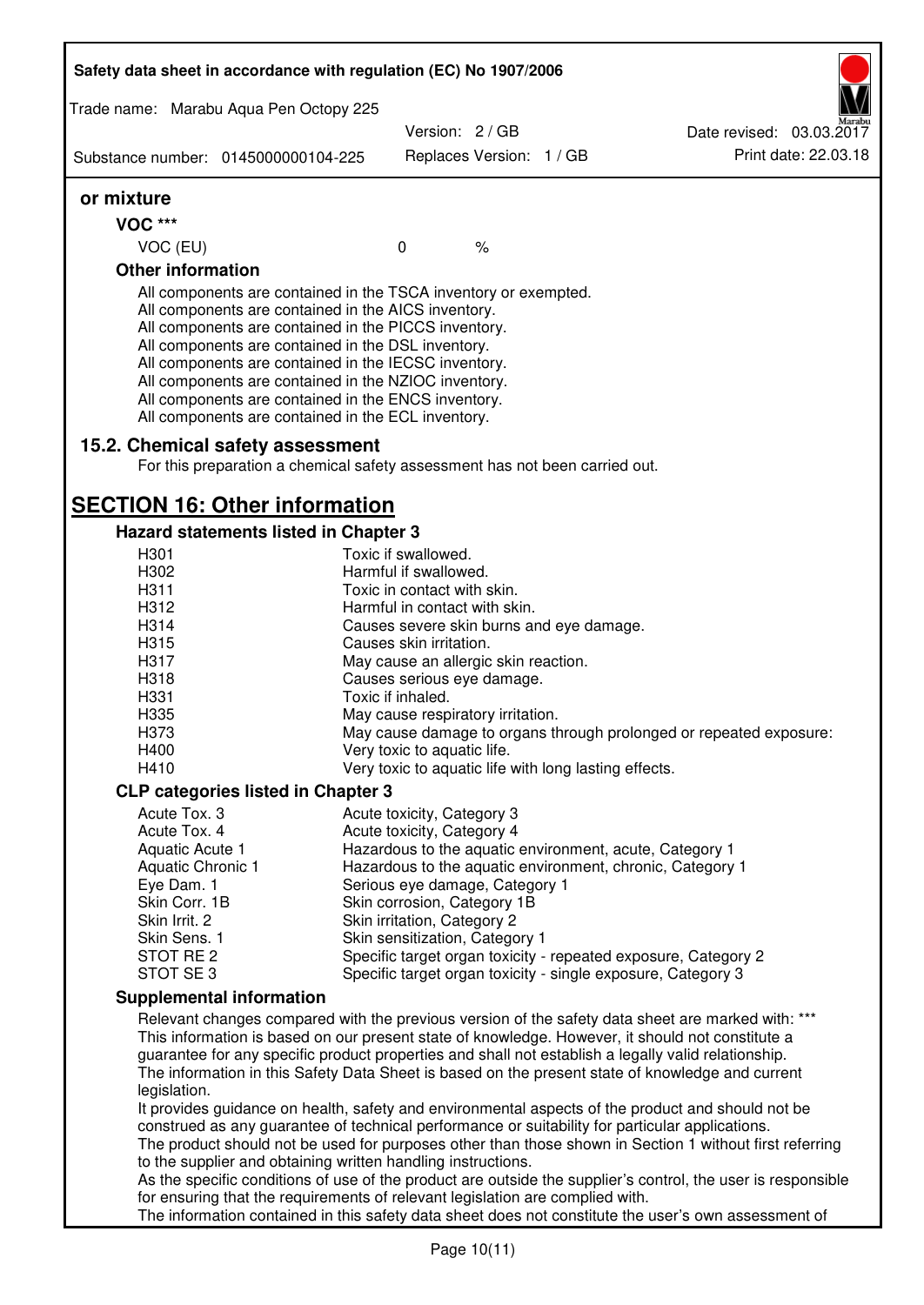|                           | Safety data sheet in accordance with regulation (EC) No 1907/2006                                                                                                                                                                                                                                                                                                                                                                                                 |                                                      |                          |                                                       |                                                                                                                                                                                                              |
|---------------------------|-------------------------------------------------------------------------------------------------------------------------------------------------------------------------------------------------------------------------------------------------------------------------------------------------------------------------------------------------------------------------------------------------------------------------------------------------------------------|------------------------------------------------------|--------------------------|-------------------------------------------------------|--------------------------------------------------------------------------------------------------------------------------------------------------------------------------------------------------------------|
|                           | Trade name: Marabu Aqua Pen Octopy 225                                                                                                                                                                                                                                                                                                                                                                                                                            |                                                      |                          |                                                       |                                                                                                                                                                                                              |
|                           |                                                                                                                                                                                                                                                                                                                                                                                                                                                                   | Version: 2 / GB                                      |                          |                                                       | Date revised: 03.03.2017<br>Print date: 22.03.18                                                                                                                                                             |
|                           | Substance number: 0145000000104-225                                                                                                                                                                                                                                                                                                                                                                                                                               |                                                      | Replaces Version: 1 / GB |                                                       |                                                                                                                                                                                                              |
| or mixture                |                                                                                                                                                                                                                                                                                                                                                                                                                                                                   |                                                      |                          |                                                       |                                                                                                                                                                                                              |
| <b>VOC ***</b>            |                                                                                                                                                                                                                                                                                                                                                                                                                                                                   |                                                      |                          |                                                       |                                                                                                                                                                                                              |
| VOC (EU)                  |                                                                                                                                                                                                                                                                                                                                                                                                                                                                   | $\mathbf 0$                                          | $\frac{1}{6}$            |                                                       |                                                                                                                                                                                                              |
| <b>Other information</b>  |                                                                                                                                                                                                                                                                                                                                                                                                                                                                   |                                                      |                          |                                                       |                                                                                                                                                                                                              |
|                           | All components are contained in the TSCA inventory or exempted.<br>All components are contained in the AICS inventory.<br>All components are contained in the PICCS inventory.<br>All components are contained in the DSL inventory.<br>All components are contained in the IECSC inventory.<br>All components are contained in the NZIOC inventory.<br>All components are contained in the ENCS inventory.<br>All components are contained in the ECL inventory. |                                                      |                          |                                                       |                                                                                                                                                                                                              |
|                           | 15.2. Chemical safety assessment<br>For this preparation a chemical safety assessment has not been carried out.                                                                                                                                                                                                                                                                                                                                                   |                                                      |                          |                                                       |                                                                                                                                                                                                              |
|                           | <b>SECTION 16: Other information</b>                                                                                                                                                                                                                                                                                                                                                                                                                              |                                                      |                          |                                                       |                                                                                                                                                                                                              |
|                           | <b>Hazard statements listed in Chapter 3</b>                                                                                                                                                                                                                                                                                                                                                                                                                      |                                                      |                          |                                                       |                                                                                                                                                                                                              |
| H301                      |                                                                                                                                                                                                                                                                                                                                                                                                                                                                   | Toxic if swallowed.                                  |                          |                                                       |                                                                                                                                                                                                              |
| H302<br>H311              |                                                                                                                                                                                                                                                                                                                                                                                                                                                                   | Harmful if swallowed.<br>Toxic in contact with skin. |                          |                                                       |                                                                                                                                                                                                              |
| H312                      |                                                                                                                                                                                                                                                                                                                                                                                                                                                                   | Harmful in contact with skin.                        |                          |                                                       |                                                                                                                                                                                                              |
| H314                      |                                                                                                                                                                                                                                                                                                                                                                                                                                                                   |                                                      |                          | Causes severe skin burns and eye damage.              |                                                                                                                                                                                                              |
| H315                      |                                                                                                                                                                                                                                                                                                                                                                                                                                                                   | Causes skin irritation.                              |                          |                                                       |                                                                                                                                                                                                              |
| H317                      |                                                                                                                                                                                                                                                                                                                                                                                                                                                                   | May cause an allergic skin reaction.                 |                          |                                                       |                                                                                                                                                                                                              |
| H318                      |                                                                                                                                                                                                                                                                                                                                                                                                                                                                   | Causes serious eye damage.                           |                          |                                                       |                                                                                                                                                                                                              |
| H331                      |                                                                                                                                                                                                                                                                                                                                                                                                                                                                   | Toxic if inhaled.                                    |                          |                                                       |                                                                                                                                                                                                              |
| H335                      |                                                                                                                                                                                                                                                                                                                                                                                                                                                                   | May cause respiratory irritation.                    |                          |                                                       |                                                                                                                                                                                                              |
| H373                      |                                                                                                                                                                                                                                                                                                                                                                                                                                                                   |                                                      |                          |                                                       | May cause damage to organs through prolonged or repeated exposure:                                                                                                                                           |
| H400                      |                                                                                                                                                                                                                                                                                                                                                                                                                                                                   | Very toxic to aquatic life.                          |                          |                                                       |                                                                                                                                                                                                              |
| H410                      |                                                                                                                                                                                                                                                                                                                                                                                                                                                                   |                                                      |                          | Very toxic to aquatic life with long lasting effects. |                                                                                                                                                                                                              |
|                           | <b>CLP categories listed in Chapter 3</b>                                                                                                                                                                                                                                                                                                                                                                                                                         |                                                      |                          |                                                       |                                                                                                                                                                                                              |
| Acute Tox, 3              |                                                                                                                                                                                                                                                                                                                                                                                                                                                                   | Acute toxicity, Category 3                           |                          |                                                       |                                                                                                                                                                                                              |
| Acute Tox. 4              |                                                                                                                                                                                                                                                                                                                                                                                                                                                                   | Acute toxicity, Category 4                           |                          |                                                       |                                                                                                                                                                                                              |
| Aquatic Acute 1           |                                                                                                                                                                                                                                                                                                                                                                                                                                                                   |                                                      |                          |                                                       | Hazardous to the aquatic environment, acute, Category 1                                                                                                                                                      |
| Aquatic Chronic 1         |                                                                                                                                                                                                                                                                                                                                                                                                                                                                   |                                                      |                          |                                                       | Hazardous to the aquatic environment, chronic, Category 1                                                                                                                                                    |
| Eye Dam. 1                |                                                                                                                                                                                                                                                                                                                                                                                                                                                                   | Serious eye damage, Category 1                       |                          |                                                       |                                                                                                                                                                                                              |
| Skin Corr. 1B             |                                                                                                                                                                                                                                                                                                                                                                                                                                                                   | Skin corrosion, Category 1B                          |                          |                                                       |                                                                                                                                                                                                              |
| Skin Irrit. 2             |                                                                                                                                                                                                                                                                                                                                                                                                                                                                   | Skin irritation, Category 2                          |                          |                                                       |                                                                                                                                                                                                              |
| Skin Sens. 1<br>STOT RE 2 |                                                                                                                                                                                                                                                                                                                                                                                                                                                                   | Skin sensitization, Category 1                       |                          |                                                       | Specific target organ toxicity - repeated exposure, Category 2                                                                                                                                               |
| STOT SE3                  |                                                                                                                                                                                                                                                                                                                                                                                                                                                                   |                                                      |                          |                                                       | Specific target organ toxicity - single exposure, Category 3                                                                                                                                                 |
|                           | <b>Supplemental information</b>                                                                                                                                                                                                                                                                                                                                                                                                                                   |                                                      |                          |                                                       |                                                                                                                                                                                                              |
|                           |                                                                                                                                                                                                                                                                                                                                                                                                                                                                   |                                                      |                          |                                                       | Relevant changes compared with the previous version of the safety data sheet are marked with: ***                                                                                                            |
| legislation.              | guarantee for any specific product properties and shall not establish a legally valid relationship.                                                                                                                                                                                                                                                                                                                                                               |                                                      |                          |                                                       | This information is based on our present state of knowledge. However, it should not constitute a<br>The information in this Safety Data Sheet is based on the present state of knowledge and current         |
|                           | construed as any guarantee of technical performance or suitability for particular applications.<br>to the supplier and obtaining written handling instructions.                                                                                                                                                                                                                                                                                                   |                                                      |                          |                                                       | It provides guidance on health, safety and environmental aspects of the product and should not be<br>The product should not be used for purposes other than those shown in Section 1 without first referring |
|                           |                                                                                                                                                                                                                                                                                                                                                                                                                                                                   |                                                      |                          |                                                       | As the specific conditions of use of the product are outside the supplier's control, the user is responsible                                                                                                 |
|                           | for ensuring that the requirements of relevant legislation are complied with.                                                                                                                                                                                                                                                                                                                                                                                     |                                                      |                          |                                                       | The information contained in this safety data sheet does not constitute the user's own assessment of                                                                                                         |